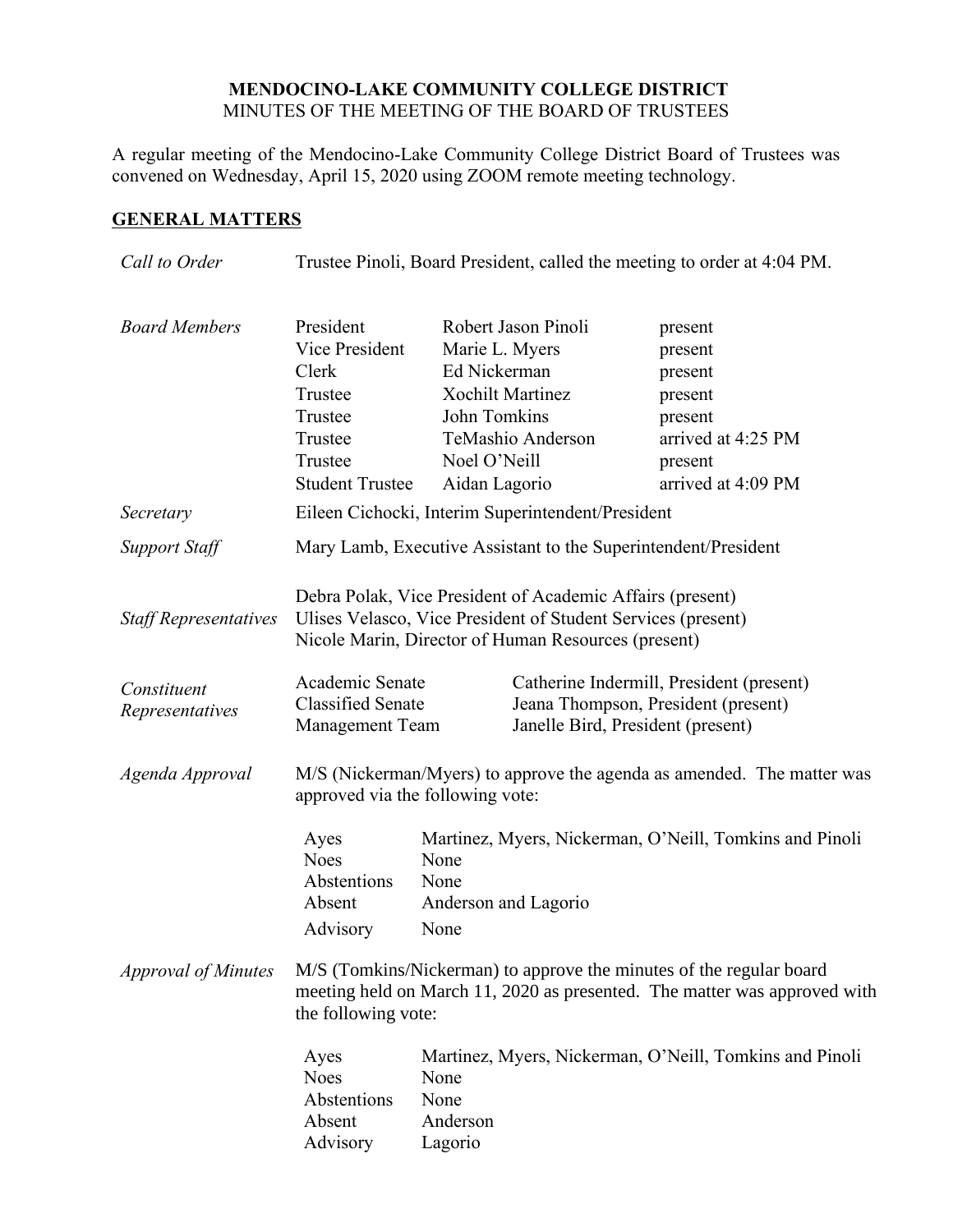## **MENDOCINO-LAKE COMMUNITY COLLEGE DISTRICT** MINUTES OF THE MEETING OF THE BOARD OF TRUSTEES

A regular meeting of the Mendocino-Lake Community College District Board of Trustees was convened on Wednesday, April 15, 2020 using ZOOM remote meeting technology.

# **GENERAL MATTERS**

| Trustee Pinoli, Board President, called the meeting to order at 4:04 PM.                                                                                                                                                                                                                                                                                                                                                                                                                                     |  |  |
|--------------------------------------------------------------------------------------------------------------------------------------------------------------------------------------------------------------------------------------------------------------------------------------------------------------------------------------------------------------------------------------------------------------------------------------------------------------------------------------------------------------|--|--|
| arrived at 4:25 PM<br>arrived at 4:09 PM                                                                                                                                                                                                                                                                                                                                                                                                                                                                     |  |  |
|                                                                                                                                                                                                                                                                                                                                                                                                                                                                                                              |  |  |
| Mary Lamb, Executive Assistant to the Superintendent/President                                                                                                                                                                                                                                                                                                                                                                                                                                               |  |  |
|                                                                                                                                                                                                                                                                                                                                                                                                                                                                                                              |  |  |
| Catherine Indermill, President (present)<br>Jeana Thompson, President (present)                                                                                                                                                                                                                                                                                                                                                                                                                              |  |  |
| M/S (Nickerman/Myers) to approve the agenda as amended. The matter was<br>approved via the following vote:                                                                                                                                                                                                                                                                                                                                                                                                   |  |  |
|                                                                                                                                                                                                                                                                                                                                                                                                                                                                                                              |  |  |
| Martinez, Myers, Nickerman, O'Neill, Tomkins and Pinoli<br>Ayes<br><b>Noes</b><br>None<br>Abstentions<br>None<br>Absent<br>Anderson and Lagorio<br>Advisory<br>None<br>M/S (Tomkins/Nickerman) to approve the minutes of the regular board<br>meeting held on March 11, 2020 as presented. The matter was approved with<br>the following vote:<br>Martinez, Myers, Nickerman, O'Neill, Tomkins and Pinoli<br>Ayes<br><b>Noes</b><br>None<br>Abstentions<br>None<br>Absent<br>Anderson<br>Advisory<br>Lagorio |  |  |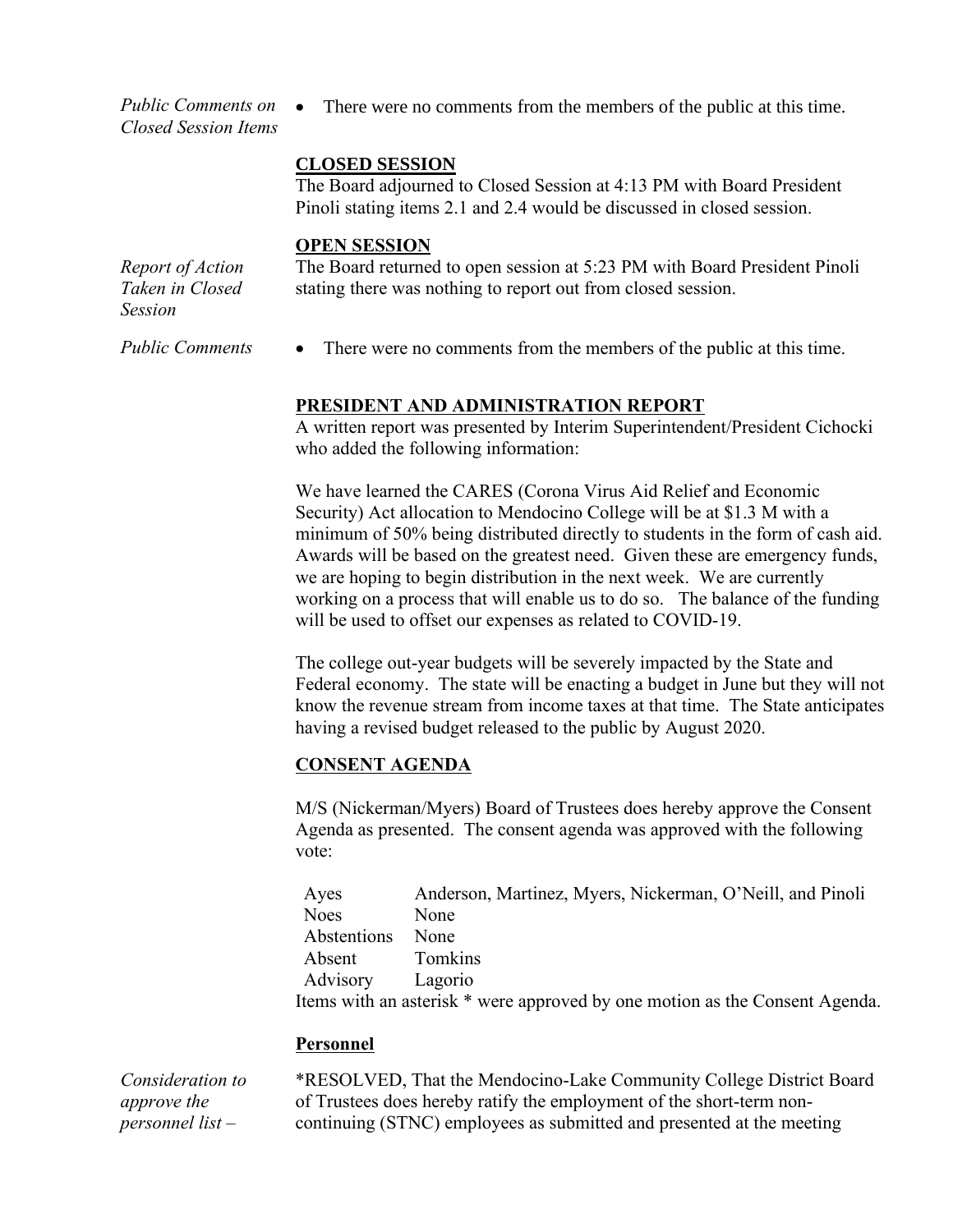*Public Comments on Closed Session Items* • There were no comments from the members of the public at this time.

### **CLOSED SESSION**

The Board adjourned to Closed Session at 4:13 PM with Board President Pinoli stating items 2.1 and 2.4 would be discussed in closed session.

#### **OPEN SESSION**

*Report of Action Taken in Closed Session* The Board returned to open session at 5:23 PM with Board President Pinoli stating there was nothing to report out from closed session.

*Public Comments* • There were no comments from the members of the public at this time.

### **PRESIDENT AND ADMINISTRATION REPORT**

A written report was presented by Interim Superintendent/President Cichocki who added the following information:

We have learned the CARES (Corona Virus Aid Relief and Economic Security) Act allocation to Mendocino College will be at \$1.3 M with a minimum of 50% being distributed directly to students in the form of cash aid. Awards will be based on the greatest need. Given these are emergency funds, we are hoping to begin distribution in the next week. We are currently working on a process that will enable us to do so. The balance of the funding will be used to offset our expenses as related to COVID-19.

The college out-year budgets will be severely impacted by the State and Federal economy. The state will be enacting a budget in June but they will not know the revenue stream from income taxes at that time. The State anticipates having a revised budget released to the public by August 2020.

### **CONSENT AGENDA**

M/S (Nickerman/Myers) Board of Trustees does hereby approve the Consent Agenda as presented. The consent agenda was approved with the following vote:

| Ayes             | Anderson, Martinez, Myers, Nickerman, O'Neill, and Pinoli                   |
|------------------|-----------------------------------------------------------------------------|
| <b>Noes</b>      | None                                                                        |
| Abstentions      | None                                                                        |
| Absent           | Tomkins                                                                     |
| Advisory Lagorio |                                                                             |
|                  | Items with an asterisk * were approved by one motion as the Consent Agenda. |

### **Personnel**

*Consideration to approve the personnel list –*

\*RESOLVED, That the Mendocino-Lake Community College District Board of Trustees does hereby ratify the employment of the short-term noncontinuing (STNC) employees as submitted and presented at the meeting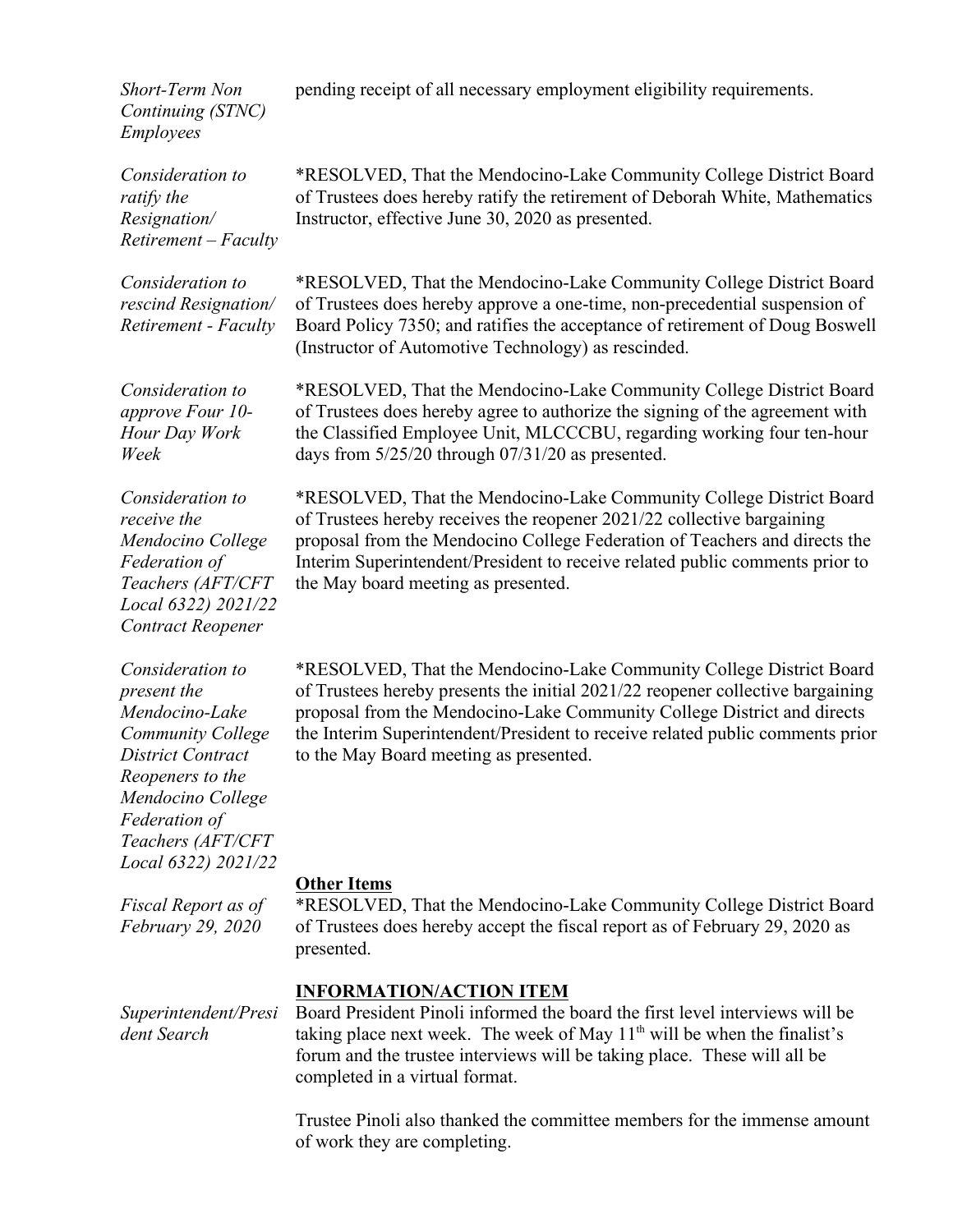*Short-Term Non Continuing (STNC) Employees*

*Consideration to ratify the Resignation/ Retirement – Faculty*

*Consideration to rescind Resignation/ Retirement - Faculty*

of Trustees does hereby approve a one-time, non-precedential suspension of Board Policy 7350; and ratifies the acceptance of retirement of Doug Boswell (Instructor of Automotive Technology) as rescinded. \*RESOLVED, That the Mendocino-Lake Community College District Board

*Consideration to approve Four 10- Hour Day Work Week*

*Consideration to receive the Mendocino College Federation of Teachers (AFT/CFT Local 6322) 2021/22 Contract Reopener*

*Consideration to present the Mendocino-Lake Community College District Contract Reopeners to the Mendocino College Federation of Teachers (AFT/CFT Local 6322) 2021/22*

*Fiscal Report as of February 29, 2020*

\*RESOLVED, That the Mendocino-Lake Community College District Board of Trustees hereby receives the reopener 2021/22 collective bargaining proposal from the Mendocino College Federation of Teachers and directs the Interim Superintendent/President to receive related public comments prior to the May board meeting as presented.

\*RESOLVED, That the Mendocino-Lake Community College District Board of Trustees hereby presents the initial 2021/22 reopener collective bargaining proposal from the Mendocino-Lake Community College District and directs the Interim Superintendent/President to receive related public comments prior to the May Board meeting as presented.

### **Other Items**

\*RESOLVED, That the Mendocino-Lake Community College District Board of Trustees does hereby accept the fiscal report as of February 29, 2020 as presented.

### **INFORMATION/ACTION ITEM**

Board President Pinoli informed the board the first level interviews will be taking place next week. The week of May  $11<sup>th</sup>$  will be when the finalist's forum and the trustee interviews will be taking place. These will all be completed in a virtual format.

Trustee Pinoli also thanked the committee members for the immense amount of work they are completing.

*Superintendent/Presi dent Search*

pending receipt of all necessary employment eligibility requirements.

\*RESOLVED, That the Mendocino-Lake Community College District Board of Trustees does hereby ratify the retirement of Deborah White, Mathematics Instructor, effective June 30, 2020 as presented.

\*RESOLVED, That the Mendocino-Lake Community College District Board

of Trustees does hereby agree to authorize the signing of the agreement with the Classified Employee Unit, MLCCCBU, regarding working four ten-hour days from 5/25/20 through 07/31/20 as presented.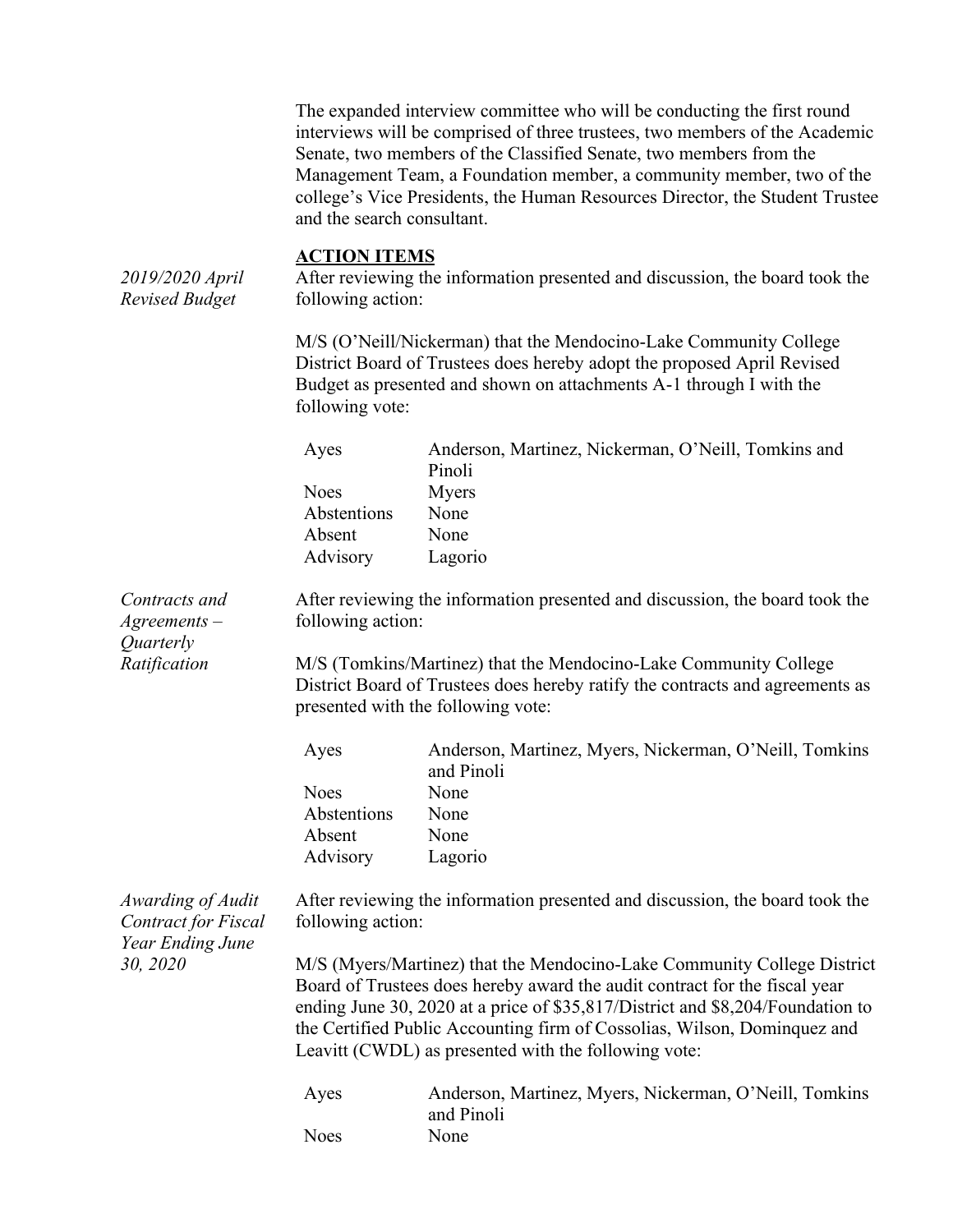The expanded interview committee who will be conducting the first round interviews will be comprised of three trustees, two members of the Academic Senate, two members of the Classified Senate, two members from the Management Team, a Foundation member, a community member, two of the college's Vice Presidents, the Human Resources Director, the Student Trustee and the search consultant.

**ACTION ITEMS** *2019/2020 April Revised Budget* After reviewing the information presented and discussion, the board took the following action: M/S (O'Neill/Nickerman) that the Mendocino-Lake Community College District Board of Trustees does hereby adopt the proposed April Revised Budget as presented and shown on attachments A-1 through I with the following vote: Ayes Anderson, Martinez, Nickerman, O'Neill, Tomkins and Pinoli Noes Myers Abstentions None Absent None Advisory Lagorio *Contracts and Agreements – Quarterly Ratification* After reviewing the information presented and discussion, the board took the following action: M/S (Tomkins/Martinez) that the Mendocino-Lake Community College District Board of Trustees does hereby ratify the contracts and agreements as presented with the following vote: Ayes Anderson, Martinez, Myers, Nickerman, O'Neill, Tomkins and Pinoli Noes None Abstentions None Absent None Advisory Lagorio *Awarding of Audit Contract for Fiscal Year Ending June 30, 2020* After reviewing the information presented and discussion, the board took the following action: M/S (Myers/Martinez) that the Mendocino-Lake Community College District Board of Trustees does hereby award the audit contract for the fiscal year ending June 30, 2020 at a price of \$35,817/District and \$8,204/Foundation to the Certified Public Accounting firm of Cossolias, Wilson, Dominquez and Leavitt (CWDL) as presented with the following vote: Ayes Anderson, Martinez, Myers, Nickerman, O'Neill, Tomkins and Pinoli Noes None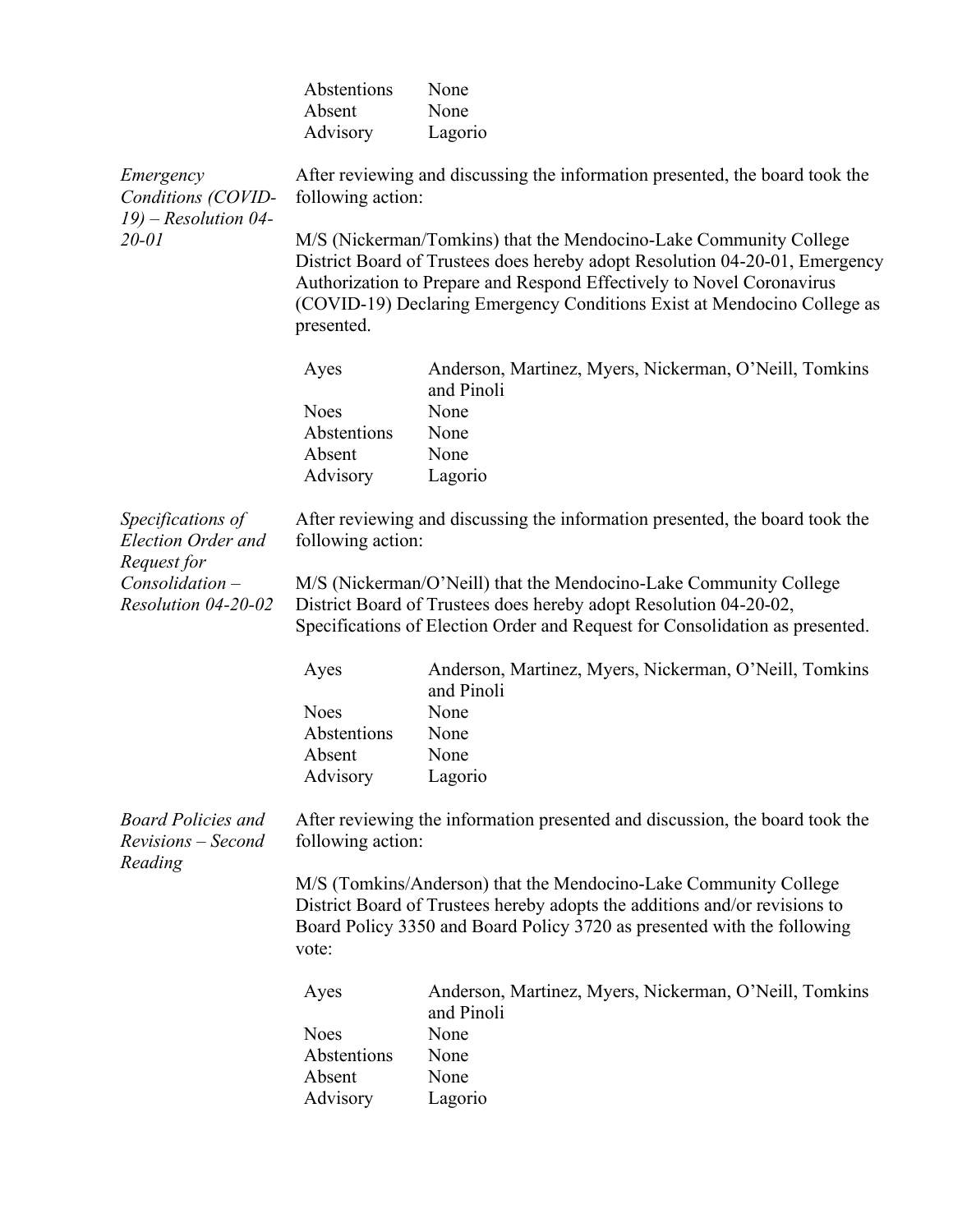|                                                                         | Abstentions<br>Absent | None<br>None                                                                                                                                                                                                                                                                                         |
|-------------------------------------------------------------------------|-----------------------|------------------------------------------------------------------------------------------------------------------------------------------------------------------------------------------------------------------------------------------------------------------------------------------------------|
|                                                                         | Advisory              | Lagorio                                                                                                                                                                                                                                                                                              |
| Emergency<br>Conditions (COVID-<br>$19$ ) – Resolution 04-<br>$20 - 01$ | following action:     | After reviewing and discussing the information presented, the board took the                                                                                                                                                                                                                         |
|                                                                         | presented.            | M/S (Nickerman/Tomkins) that the Mendocino-Lake Community College<br>District Board of Trustees does hereby adopt Resolution 04-20-01, Emergency<br>Authorization to Prepare and Respond Effectively to Novel Coronavirus<br>(COVID-19) Declaring Emergency Conditions Exist at Mendocino College as |
|                                                                         | Ayes                  | Anderson, Martinez, Myers, Nickerman, O'Neill, Tomkins<br>and Pinoli                                                                                                                                                                                                                                 |
|                                                                         | <b>Noes</b>           | None                                                                                                                                                                                                                                                                                                 |
|                                                                         | Abstentions           | None                                                                                                                                                                                                                                                                                                 |
|                                                                         | Absent                | None                                                                                                                                                                                                                                                                                                 |
|                                                                         | Advisory              | Lagorio                                                                                                                                                                                                                                                                                              |
| Specifications of<br>Election Order and<br>Request for                  | following action:     | After reviewing and discussing the information presented, the board took the                                                                                                                                                                                                                         |
| $Consolidation -$<br>Resolution 04-20-02                                |                       | M/S (Nickerman/O'Neill) that the Mendocino-Lake Community College<br>District Board of Trustees does hereby adopt Resolution 04-20-02,<br>Specifications of Election Order and Request for Consolidation as presented.                                                                               |
|                                                                         | Ayes                  | Anderson, Martinez, Myers, Nickerman, O'Neill, Tomkins<br>and Pinoli                                                                                                                                                                                                                                 |
|                                                                         | <b>Noes</b>           | None                                                                                                                                                                                                                                                                                                 |
|                                                                         | Abstentions           | None                                                                                                                                                                                                                                                                                                 |
|                                                                         | Absent                | None                                                                                                                                                                                                                                                                                                 |
|                                                                         | Advisory              | Lagorio                                                                                                                                                                                                                                                                                              |
| <b>Board Policies and</b><br>Revisions – Second<br>Reading              | following action:     | After reviewing the information presented and discussion, the board took the                                                                                                                                                                                                                         |
|                                                                         | vote:                 | M/S (Tomkins/Anderson) that the Mendocino-Lake Community College<br>District Board of Trustees hereby adopts the additions and/or revisions to<br>Board Policy 3350 and Board Policy 3720 as presented with the following                                                                            |
|                                                                         | Ayes                  | Anderson, Martinez, Myers, Nickerman, O'Neill, Tomkins<br>and Pinoli                                                                                                                                                                                                                                 |
|                                                                         | <b>Noes</b>           | None                                                                                                                                                                                                                                                                                                 |
|                                                                         | Abstentions           | None                                                                                                                                                                                                                                                                                                 |
|                                                                         | Absent                | None                                                                                                                                                                                                                                                                                                 |
|                                                                         | Advisory              | Lagorio                                                                                                                                                                                                                                                                                              |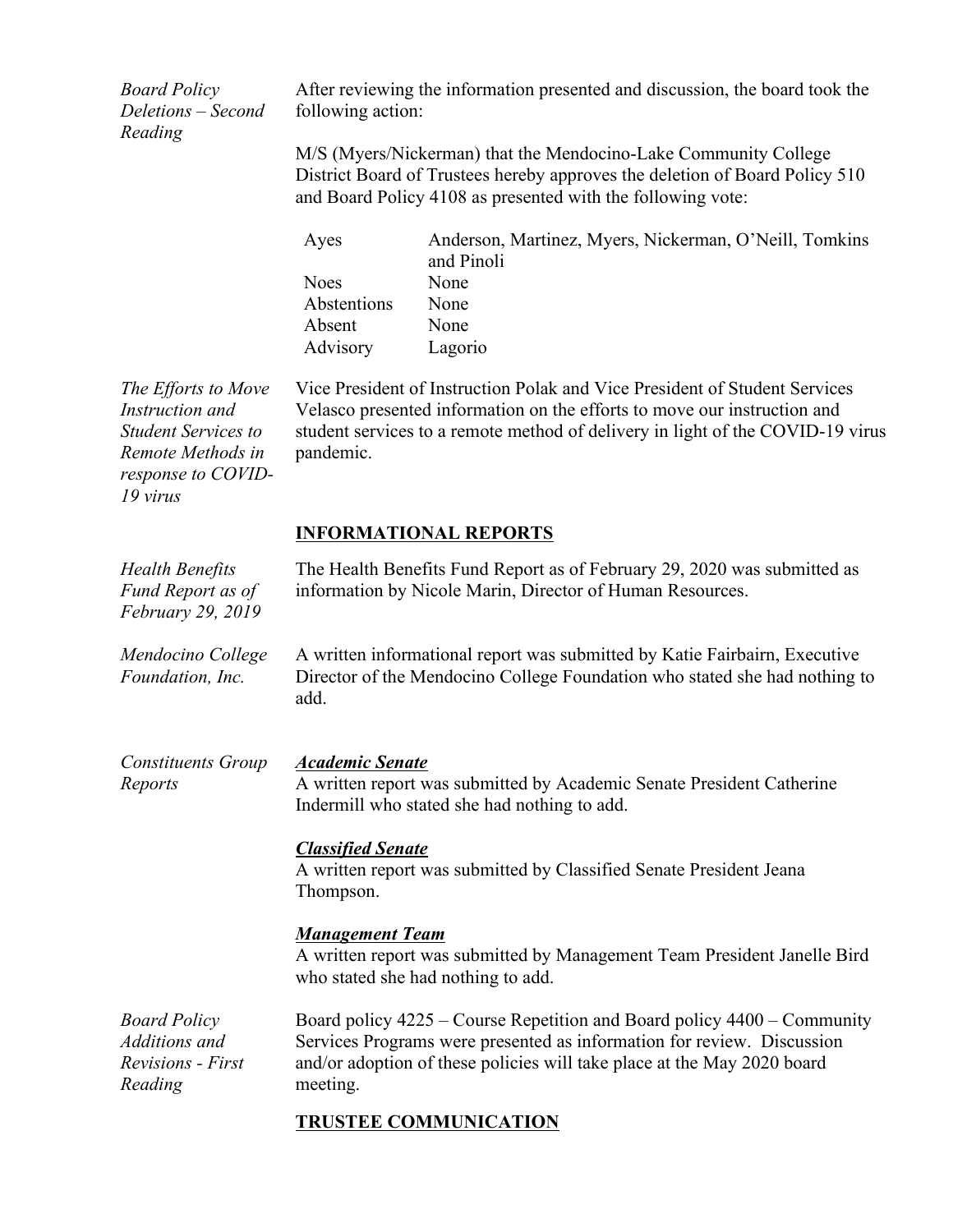*Board Policy Deletions – Second Reading*

After reviewing the information presented and discussion, the board took the following action:

M/S (Myers/Nickerman) that the Mendocino-Lake Community College District Board of Trustees hereby approves the deletion of Board Policy 510 and Board Policy 4108 as presented with the following vote:

| Ayes        | Anderson, Martinez, Myers, Nickerman, O'Neill, Tomkins<br>and Pinoli |
|-------------|----------------------------------------------------------------------|
| <b>Noes</b> | None                                                                 |
| Abstentions | None                                                                 |
| Absent      | None                                                                 |
| Advisory    | Lagorio                                                              |

*The Efforts to Move Instruction and Student Services to Remote Methods in response to COVID-19 virus*

Vice President of Instruction Polak and Vice President of Student Services Velasco presented information on the efforts to move our instruction and student services to a remote method of delivery in light of the COVID-19 virus pandemic.

### **INFORMATIONAL REPORTS**

| <b>Health Benefits</b><br>Fund Report as of<br>February 29, 2019            | The Health Benefits Fund Report as of February 29, 2020 was submitted as<br>information by Nicole Marin, Director of Human Resources.                                                                                                    |
|-----------------------------------------------------------------------------|------------------------------------------------------------------------------------------------------------------------------------------------------------------------------------------------------------------------------------------|
| Mendocino College<br>Foundation, Inc.                                       | A written informational report was submitted by Katie Fairbairn, Executive<br>Director of the Mendocino College Foundation who stated she had nothing to<br>add.                                                                         |
| <b>Constituents Group</b><br>Reports                                        | <b>Academic Senate</b><br>A written report was submitted by Academic Senate President Catherine<br>Indermill who stated she had nothing to add.                                                                                          |
|                                                                             | <b>Classified Senate</b><br>A written report was submitted by Classified Senate President Jeana<br>Thompson.                                                                                                                             |
|                                                                             | <b>Management Team</b><br>A written report was submitted by Management Team President Janelle Bird<br>who stated she had nothing to add.                                                                                                 |
| <b>Board Policy</b><br>Additions and<br><b>Revisions</b> - First<br>Reading | Board policy 4225 – Course Repetition and Board policy 4400 – Community<br>Services Programs were presented as information for review. Discussion<br>and/or adoption of these policies will take place at the May 2020 board<br>meeting. |
|                                                                             | <b>TRUSTEE COMMUNICATION</b>                                                                                                                                                                                                             |